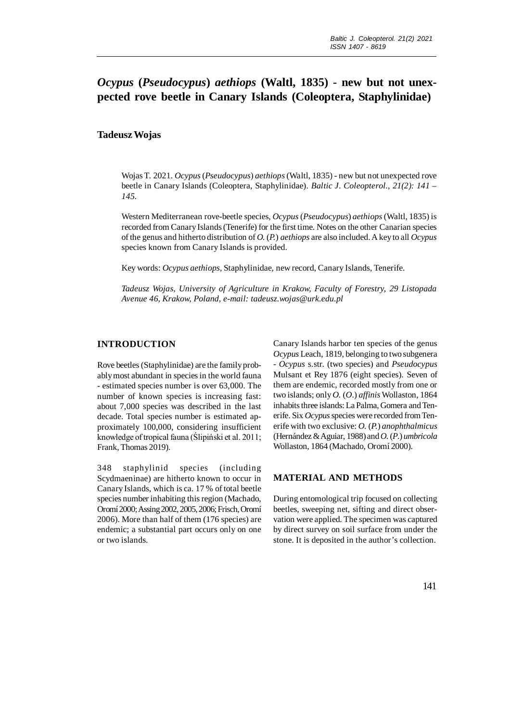# *Ocypus* **(***Pseudocypus***)** *aethiops* **(Waltl, 1835) - new but not unexpected rove beetle in Canary Islands (Coleoptera, Staphylinidae)**

## **Tadeusz Wojas**

Wojas T. 2021. *Ocypus* (*Pseudocypus*) *aethiops* (Waltl, 1835) - new but not unexpected rove beetle in Canary Islands (Coleoptera, Staphylinidae). *Baltic J. Coleopterol., 21(2): 141 – 145.*

Western Mediterranean rove-beetle species, *Ocypus* (*Pseudocypus*) *aethiops* (Waltl, 1835) is recorded from Canary Islands (Tenerife) for the first time. Notes on the other Canarian species of the genus and hitherto distribution of *O.* (*P.*) *aethiops* are also included. A key to all *Ocypus* species known from Canary Islands is provided.

Key words: *Ocypus aethiops*, Staphylinidae, new record, Canary Islands, Tenerife.

*Tadeusz Wojas, University of Agriculture in Krakow, Faculty of Forestry, 29 Listopada Avenue 46, Krakow, Poland, e-mail: tadeusz.wojas@urk.edu.pl*

### **INTRODUCTION**

Rove beetles (Staphylinidae) are the family probably most abundant in species in the world fauna - estimated species number is over 63,000. The number of known species is increasing fast: about 7,000 species was described in the last decade. Total species number is estimated approximately 100,000, considering insufficient knowledge of tropical fauna (Ślipiński et al. 2011; Frank, Thomas 2019).

348 staphylinid species (including Scydmaeninae) are hitherto known to occur in Canary Islands, which is ca. 17 % of total beetle species number inhabiting this region (Machado, Oromí 2000; Assing 2002, 2005, 2006; Frisch, Oromí 2006). More than half of them (176 species) are endemic; a substantial part occurs only on one or two islands.

Canary Islands harbor ten species of the genus *Ocypus* Leach, 1819, belonging to two subgenera - *Ocypus* s.str. (two species) and *Pseudocypus* Mulsant et Rey 1876 (eight species). Seven of them are endemic, recorded mostly from one or two islands; only *O.* (*O*.) *affinis* Wollaston, 1864 inhabits three islands: La Palma, Gomera and Tenerife. Six *Ocypus* species were recorded from Tenerife with two exclusive: *O.* (*P.*) *anophthalmicus* (Hernández & Aguiar, 1988) and *O.* (*P*.) *umbricola* Wollaston, 1864 (Machado, Oromí 2000).

# **MATERIAL AND METHODS**

During entomological trip focused on collecting beetles, sweeping net, sifting and direct observation were applied. The specimen was captured by direct survey on soil surface from under the stone. It is deposited in the author's collection.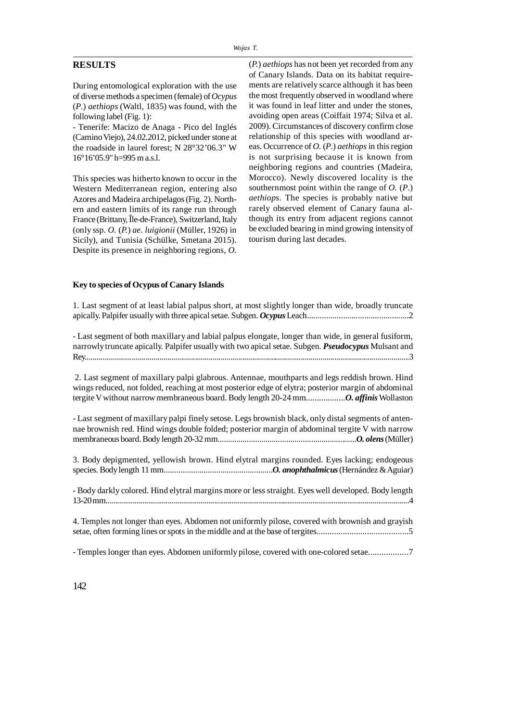## **RESULTS**

During entomological exploration with the use of diverse methods a specimen (female) of *Ocypus* (*P*.) *aethiops* (Waltl, 1835) was found, with the following label (Fig. 1):

- Tenerife: Macizo de Anaga - Pico del Inglés (Camino Viejo), 24.02.2012, picked under stone at the roadside in laurel forest; N 28°32'06.3" W 16°16'05.9" h=995 m a.s.l.

This species was hitherto known to occur in the Western Mediterranean region, entering also Azores and Madeira archipelagos (Fig. 2). Northern and eastern limits of its range run through France (Brittany, Île-de-France), Switzerland, Italy (only ssp. *O.* (*P.*) *ae. luigionii* (Müller, 1926) in Sicily), and Tunisia (Schülke, Smetana 2015). Despite its presence in neighboring regions, *O.*

(*P.*) *aethiops* has not been yet recorded from any of Canary Islands. Data on its habitat requirements are relatively scarce although it has been the most frequently observed in woodland where it was found in leaf litter and under the stones, avoiding open areas (Coiffait 1974; Silva et al. 2009). Circumstances of discovery confirm close relationship of this species with woodland areas. Occurrence of *O.* (*P*.) *aethiops* in this region is not surprising because it is known from neighboring regions and countries (Madeira, Morocco). Newly discovered locality is the southernmost point within the range of  $O$ .  $(P)$ . *aethiops*. The species is probably native but rarely observed element of Canary fauna although its entry from adjacent regions cannot be excluded bearing in mind growing intensity of tourism during last decades.

#### **Key to species of Ocypus of Canary Islands**

1. Last segment of at least labial palpus short, at most slightly longer than wide, broadly truncate apically. Palpifer usually with three apical setae. Subgen. *Ocypus*Leach................................................2

- Last segment of both maxillary and labial palpus elongate, longer than wide, in general fusiform, narrowly truncate apically. Palpifer usually with two apical setae. Subgen. *Pseudocypus* Mulsant and Rey.....................................................................................................................................................................3

 2. Last segment of maxillary palpi glabrous. Antennae, mouthparts and legs reddish brown. Hind wings reduced, not folded, reaching at most posterior edge of elytra; posterior margin of abdominal tergite V without narrow membraneous board. Body length 20-24 mm..................*O. affinis* Wollaston

- Last segment of maxillary palpi finely setose. Legs brownish black, only distal segments of antennae brownish red. Hind wings double folded; posterior margin of abdominal tergite V with narrow membraneous board. Body length 20-32 mm...................................................................*O. olens* (Müller)

3. Body depigmented, yellowish brown. Hind elytral margins rounded. Eyes lacking; endogeous species. Body length 11 mm....................................................*O. anophthalmicus* (Hernández & Aguiar)

- Body darkly colored. Hind elytral margins more or less straight. Eyes well developed. Body length 13-20 mm.............................................................................................................................................................4

4. Temples not longer than eyes. Abdomen not uniformly pilose, covered with brownish and grayish setae, often forming lines or spots in the middle and at the base of tergites..........................................5

- Temples longer than eyes. Abdomen uniformly pilose, covered with one-colored setae..................7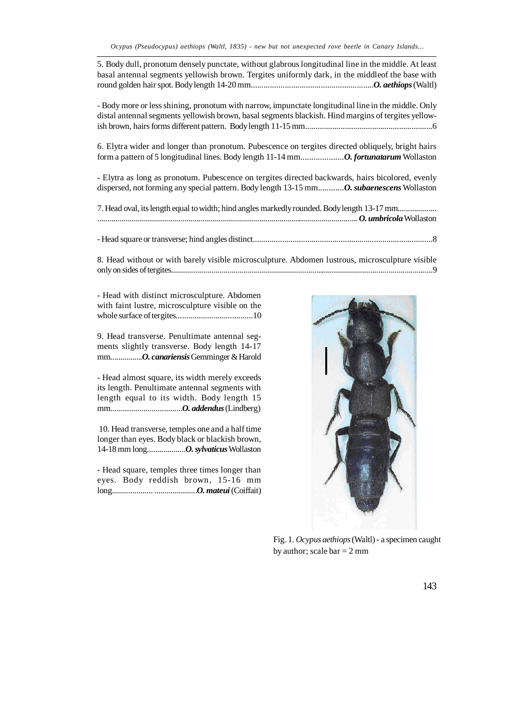5. Body dull, pronotum densely punctate, without glabrous longitudinal line in the middle. At least basal antennal segments yellowish brown. Tergites uniformly dark, in the middleof the base with round golden hair spot. Body length 14-20 mm..........................................................*O. aethiops* (Waltl)

- Body more or less shining, pronotum with narrow, impunctate longitudinal line in the middle. Only distal antennal segments yellowish brown, basal segments blackish. Hind margins of tergites yellowish brown, hairs forms different pattern. Body length 11-15 mm.............................................................6

6. Elytra wider and longer than pronotum. Pubescence on tergites directed obliquely, bright hairs form a pattern of 5 longitudinal lines. Body length 11-14 mm....................*O. fortunatarum* Wollaston

- Elytra as long as pronotum. Pubescence on tergites directed backwards, hairs bicolored, evenly dispersed, not forming any special pattern. Body length 13-15 mm............*O. subaenescens* Wollaston

| 7. Head oval, its length equal to width; hind angles markedly rounded. Body length 13-17 mm |
|---------------------------------------------------------------------------------------------|
|                                                                                             |
|                                                                                             |

|--|--|

8. Head without or with barely visible microsculpture. Abdomen lustrous, microsculpture visible only on sides of tergites..................................................................................................................................9

- Head with distinct microsculpture. Abdomen with faint lustre, microsculpture visible on the whole surface of tergites.....................................10

9. Head transverse. Penultimate antennal segments slightly transverse. Body length 14-17 mm................*O. canariensis* Gemminger & Harold

- Head almost square, its width merely exceeds its length. Penultimate antennal segments with length equal to its width. Body length 15 mm...................................*O. addendus* (Lindberg)

 10. Head transverse, temples one and a half time longer than eyes. Body black or blackish brown, 14-18 mm long...................*O. sylvaticus* Wollaston

- Head square, temples three times longer than eyes. Body reddish brown, 15-16 mm long.................... .....................*O. mateui* (Coiffait)



Fig. 1. *Ocypus aethiops* (Waltl) - a specimen caught by author; scale  $bar = 2$  mm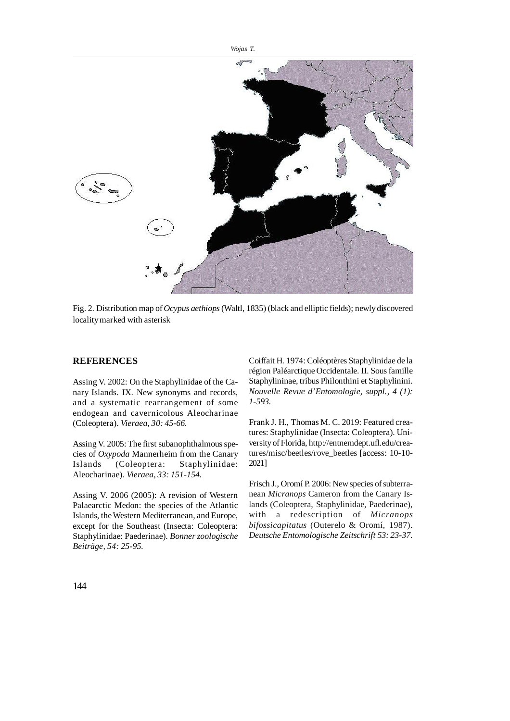

Fig. 2. Distribution map of *Ocypus aethiops* (Waltl, 1835) (black and elliptic fields); newly discovered locality marked with asterisk

# **REFERENCES**

Assing V. 2002: On the Staphylinidae of the Canary Islands. IX. New synonyms and records, and a systematic rearrangement of some endogean and cavernicolous Aleocharinae (Coleoptera). *Vieraea, 30: 45-66.*

Assing V. 2005: The first subanophthalmous species of *Oxypoda* Mannerheim from the Canary Islands (Coleoptera: Staphylinidae: Aleocharinae). *Vieraea, 33: 151-154.*

Assing V. 2006 (2005): A revision of Western Palaearctic Medon: the species of the Atlantic Islands, the Western Mediterranean, and Europe, except for the Southeast (Insecta: Coleoptera: Staphylinidae: Paederinae). *Bonner zoologische Beiträge, 54: 25-95.*

Coiffait H. 1974: Coléoptères Staphylinidae de la région Paléarctique Occidentale. II. Sous famille Staphylininae, tribus Philonthini et Staphylinini. *Nouvelle Revue d'Entomologie, suppl., 4 (1): 1-593.*

Frank J. H., Thomas M. C. 2019: Featured creatures: Staphylinidae (Insecta: Coleoptera). University of Florida, http://entnemdept.ufl.edu/creatures/misc/beetles/rove\_beetles [access: 10-10- 2021]

Frisch J., Oromí P. 2006: New species of subterranean *Micranops* Cameron from the Canary Islands (Coleoptera, Staphylinidae, Paederinae), with a redescription of *Micranops bifossicapitatus* (Outerelo & Oromí, 1987). *Deutsche Entomologische Zeitschrift 53: 23-37.*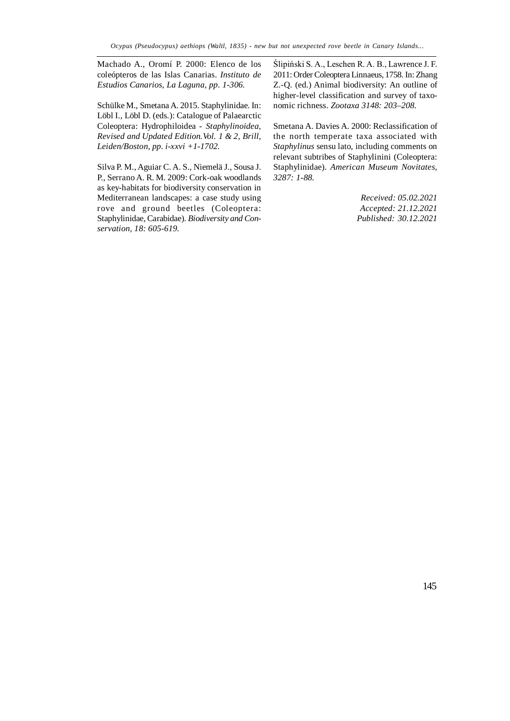Machado A., Oromí P. 2000: Elenco de los coleópteros de las Islas Canarias. *Instituto de Estudios Canarios, La Laguna, pp. 1-306.*

Schülke M., Smetana A. 2015. Staphylinidae. In: Löbl I., Löbl D. (eds.): Catalogue of Palaearctic Coleoptera: Hydrophiloidea - *Staphylinoidea, Revised and Updated Edition.Vol. 1 & 2, Brill, Leiden/Boston, pp. i-xxvi +1-1702.*

Silva P. M., Aguiar C. A. S., Niemelä J., Sousa J. P., Serrano A. R. M. 2009: Cork-oak woodlands as key-habitats for biodiversity conservation in Mediterranean landscapes: a case study using rove and ground beetles (Coleoptera: Staphylinidae, Carabidae). *Biodiversity and Conservation, 18: 605-619.*

Ślipiński S. A., Leschen R. A. B., Lawrence J. F. 2011: Order Coleoptera Linnaeus, 1758. In: Zhang Z.-Q. (ed.) Animal biodiversity: An outline of higher-level classification and survey of taxonomic richness. *Zootaxa 3148: 203–208.*

Smetana A. Davies A. 2000: Reclassification of the north temperate taxa associated with *Staphylinus* sensu lato, including comments on relevant subtribes of Staphylinini (Coleoptera: Staphylinidae). *American Museum Novitates, 3287: 1-88.*

> *Received: 05.02.2021 Accepted: 21.12.2021 Published: 30.12.2021*